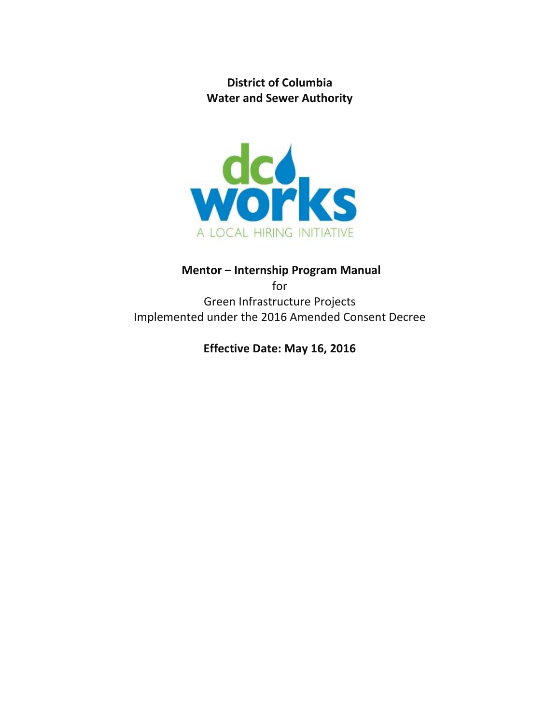**District of Columbia Water and Sewer Authority**



# **Mentor – Internship Program Manual**  for Green Infrastructure Projects Implemented under the 2016 Amended Consent Decree

**Effective Date: May 16, 2016**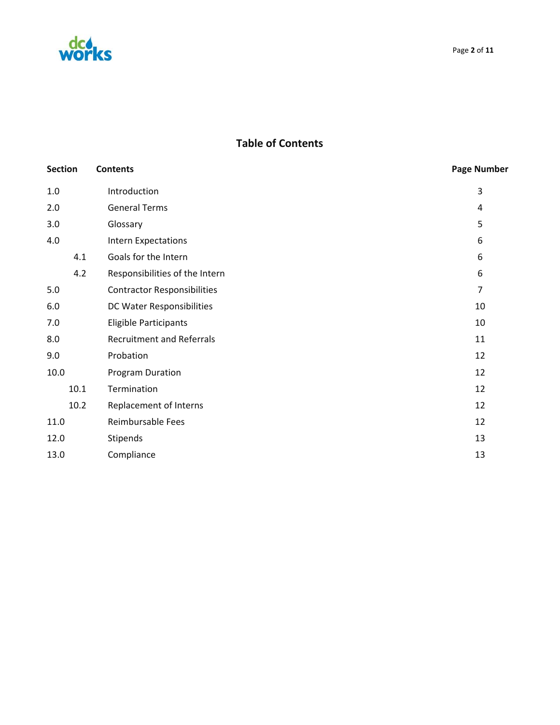

## **Table of Contents**

| <b>Section</b> | <b>Contents</b>                    | <b>Page Number</b> |
|----------------|------------------------------------|--------------------|
| 1.0            | Introduction                       | 3                  |
| 2.0            | <b>General Terms</b>               | 4                  |
| 3.0            | Glossary                           | 5                  |
| 4.0            | <b>Intern Expectations</b>         | 6                  |
| 4.1            | Goals for the Intern               | 6                  |
| 4.2            | Responsibilities of the Intern     | 6                  |
| 5.0            | <b>Contractor Responsibilities</b> | $\overline{7}$     |
| 6.0            | DC Water Responsibilities          | 10                 |
| 7.0            | Eligible Participants              | 10                 |
| 8.0            | <b>Recruitment and Referrals</b>   | 11                 |
| 9.0            | Probation                          | 12                 |
| 10.0           | <b>Program Duration</b>            | 12                 |
| 10.1           | Termination                        | 12                 |
| 10.2           | Replacement of Interns             | 12                 |
| 11.0           | Reimbursable Fees                  | 12                 |
| 12.0           | Stipends                           | 13                 |
| 13.0           | Compliance                         | 13                 |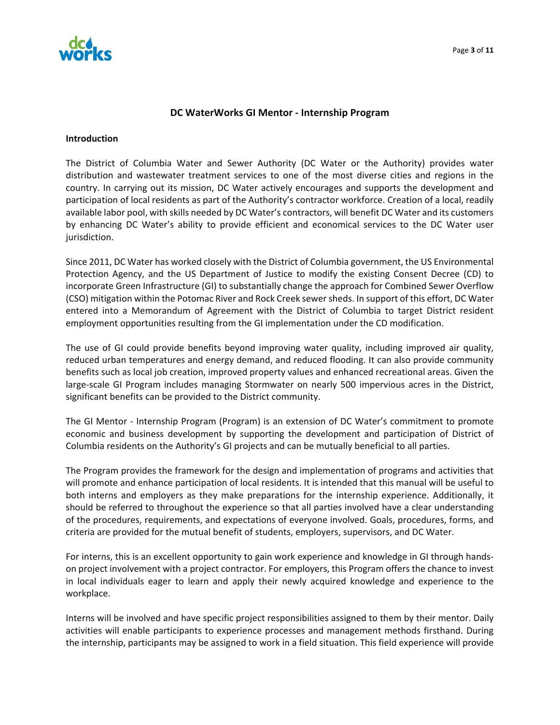

### **DC WaterWorks GI Mentor ‐ Internship Program**

#### **Introduction**

The District of Columbia Water and Sewer Authority (DC Water or the Authority) provides water distribution and wastewater treatment services to one of the most diverse cities and regions in the country. In carrying out its mission, DC Water actively encourages and supports the development and participation of local residents as part of the Authority's contractor workforce. Creation of a local, readily available labor pool, with skills needed by DC Water's contractors, will benefit DC Water and its customers by enhancing DC Water's ability to provide efficient and economical services to the DC Water user jurisdiction.

Since 2011, DC Water has worked closely with the District of Columbia government, the US Environmental Protection Agency, and the US Department of Justice to modify the existing Consent Decree (CD) to incorporate Green Infrastructure (GI) to substantially change the approach for Combined Sewer Overflow (CSO) mitigation within the Potomac River and Rock Creek sewersheds. In support of this effort, DC Water entered into a Memorandum of Agreement with the District of Columbia to target District resident employment opportunities resulting from the GI implementation under the CD modification.

The use of GI could provide benefits beyond improving water quality, including improved air quality, reduced urban temperatures and energy demand, and reduced flooding. It can also provide community benefits such as local job creation, improved property values and enhanced recreational areas. Given the large-scale GI Program includes managing Stormwater on nearly 500 impervious acres in the District, significant benefits can be provided to the District community.

The GI Mentor ‐ Internship Program (Program) is an extension of DC Water's commitment to promote economic and business development by supporting the development and participation of District of Columbia residents on the Authority's GI projects and can be mutually beneficial to all parties.

The Program provides the framework for the design and implementation of programs and activities that will promote and enhance participation of local residents. It is intended that this manual will be useful to both interns and employers as they make preparations for the internship experience. Additionally, it should be referred to throughout the experience so that all parties involved have a clear understanding of the procedures, requirements, and expectations of everyone involved. Goals, procedures, forms, and criteria are provided for the mutual benefit of students, employers, supervisors, and DC Water.

For interns, this is an excellent opportunity to gain work experience and knowledge in GI through hands‐ on project involvement with a project contractor. For employers, this Program offers the chance to invest in local individuals eager to learn and apply their newly acquired knowledge and experience to the workplace.

Interns will be involved and have specific project responsibilities assigned to them by their mentor. Daily activities will enable participants to experience processes and management methods firsthand. During the internship, participants may be assigned to work in a field situation. This field experience will provide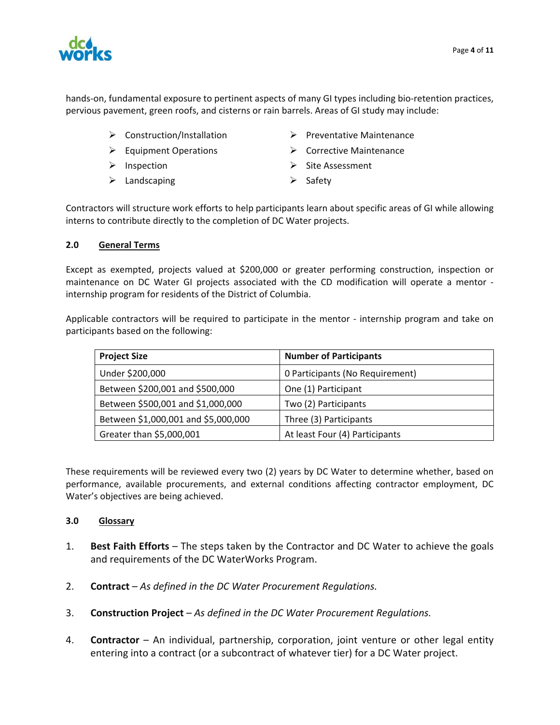

hands-on, fundamental exposure to pertinent aspects of many GI types including bio-retention practices, pervious pavement, green roofs, and cisterns or rain barrels. Areas of GI study may include:

- 
- 
- 
- $\triangleright$  Landscaping  $\triangleright$  Safety
- $\triangleright$  Construction/Installation  $\triangleright$  Preventative Maintenance
- Equipment Operations **Example 2** Corrective Maintenance
- Inspection Site Assessment
	-

Contractors will structure work efforts to help participants learn about specific areas of GI while allowing interns to contribute directly to the completion of DC Water projects.

## **2.0 General Terms**

Except as exempted, projects valued at \$200,000 or greater performing construction, inspection or maintenance on DC Water GI projects associated with the CD modification will operate a mentor ‐ internship program for residents of the District of Columbia.

Applicable contractors will be required to participate in the mentor - internship program and take on participants based on the following:

| <b>Project Size</b>                 | <b>Number of Participants</b>   |  |
|-------------------------------------|---------------------------------|--|
| Under \$200,000                     | 0 Participants (No Requirement) |  |
| Between \$200,001 and \$500,000     | One (1) Participant             |  |
| Between \$500,001 and \$1,000,000   | Two (2) Participants            |  |
| Between \$1,000,001 and \$5,000,000 | Three (3) Participants          |  |
| Greater than \$5,000,001            | At least Four (4) Participants  |  |

These requirements will be reviewed every two (2) years by DC Water to determine whether, based on performance, available procurements, and external conditions affecting contractor employment, DC Water's objectives are being achieved.

## **3.0 Glossary**

- 1. **Best Faith Efforts** The steps taken by the Contractor and DC Water to achieve the goals and requirements of the DC WaterWorks Program.
- 2. **Contract** *As defined in the DC Water Procurement Regulations.*
- 3. **Construction Project** *As defined in the DC Water Procurement Regulations.*
- 4. **Contractor** An individual, partnership, corporation, joint venture or other legal entity entering into a contract (or a subcontract of whatever tier) for a DC Water project.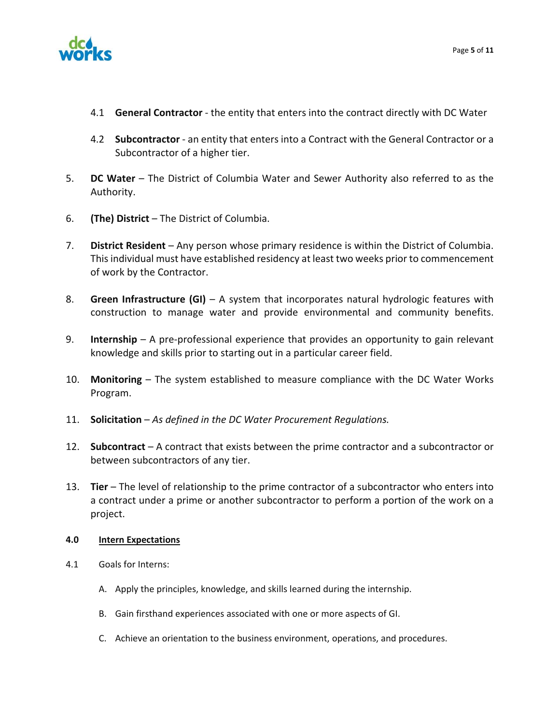



- 4.1 **General Contractor** ‐ the entity that enters into the contract directly with DC Water
- 4.2 **Subcontractor** ‐ an entity that enters into a Contract with the General Contractor or a Subcontractor of a higher tier.
- 5. **DC Water** The District of Columbia Water and Sewer Authority also referred to as the Authority.
- 6. **(The) District** The District of Columbia.
- 7. **District Resident** Any person whose primary residence is within the District of Columbia. This individual must have established residency at least two weeks prior to commencement of work by the Contractor.
- 8. **Green Infrastructure (GI)** A system that incorporates natural hydrologic features with construction to manage water and provide environmental and community benefits.
- 9. **Internship** A pre-professional experience that provides an opportunity to gain relevant knowledge and skills prior to starting out in a particular career field.
- 10. **Monitoring** The system established to measure compliance with the DC Water Works Program.
- 11. **Solicitation** *As defined in the DC Water Procurement Regulations.*
- 12. **Subcontract** A contract that exists between the prime contractor and a subcontractor or between subcontractors of any tier.
- 13. **Tier** The level of relationship to the prime contractor of a subcontractor who enters into a contract under a prime or another subcontractor to perform a portion of the work on a project.

## **4.0 Intern Expectations**

- 4.1 Goals for Interns:
	- A. Apply the principles, knowledge, and skills learned during the internship.
	- B. Gain firsthand experiences associated with one or more aspects of GI.
	- C. Achieve an orientation to the business environment, operations, and procedures.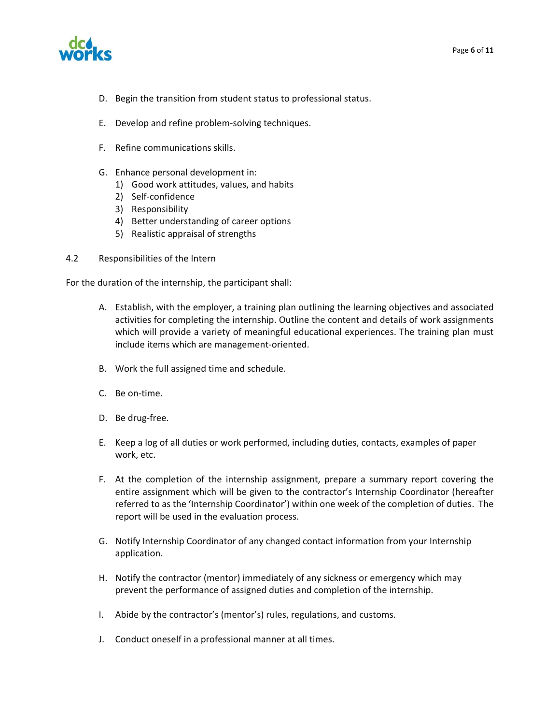

- D. Begin the transition from student status to professional status.
- E. Develop and refine problem‐solving techniques.
- F. Refine communications skills.
- G. Enhance personal development in:
	- 1) Good work attitudes, values, and habits
	- 2) Self‐confidence
	- 3) Responsibility
	- 4) Better understanding of career options
	- 5) Realistic appraisal of strengths
- 4.2 Responsibilities of the Intern

For the duration of the internship, the participant shall:

- A. Establish, with the employer, a training plan outlining the learning objectives and associated activities for completing the internship. Outline the content and details of work assignments which will provide a variety of meaningful educational experiences. The training plan must include items which are management‐oriented.
- B. Work the full assigned time and schedule.
- C. Be on‐time.
- D. Be drug-free.
- E. Keep a log of all duties or work performed, including duties, contacts, examples of paper work, etc.
- F. At the completion of the internship assignment, prepare a summary report covering the entire assignment which will be given to the contractor's Internship Coordinator (hereafter referred to as the 'Internship Coordinator') within one week of the completion of duties. The report will be used in the evaluation process.
- G. Notify Internship Coordinator of any changed contact information from your Internship application.
- H. Notify the contractor (mentor) immediately of any sickness or emergency which may prevent the performance of assigned duties and completion of the internship.
- I. Abide by the contractor's (mentor's) rules, regulations, and customs.
- J. Conduct oneself in a professional manner at all times.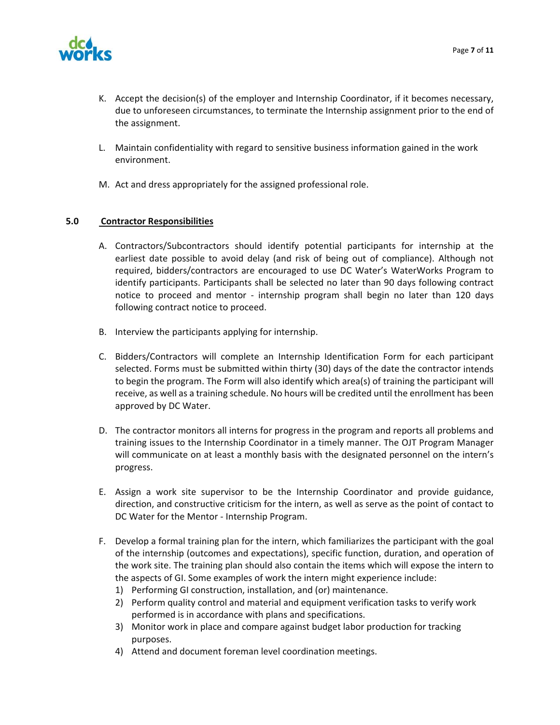

- K. Accept the decision(s) of the employer and Internship Coordinator, if it becomes necessary, due to unforeseen circumstances, to terminate the Internship assignment prior to the end of the assignment.
- L. Maintain confidentiality with regard to sensitive business information gained in the work environment.
- M. Act and dress appropriately for the assigned professional role.

## **5.0 Contractor Responsibilities**

- A. Contractors/Subcontractors should identify potential participants for internship at the earliest date possible to avoid delay (and risk of being out of compliance). Although not required, bidders/contractors are encouraged to use DC Water's WaterWorks Program to identify participants. Participants shall be selected no later than 90 days following contract notice to proceed and mentor - internship program shall begin no later than 120 days following contract notice to proceed.
- B. Interview the participants applying for internship.
- C. Bidders/Contractors will complete an Internship Identification Form for each participant selected. Forms must be submitted within thirty (30) days of the date the contractor intends to begin the program. The Form will also identify which area(s) of training the participant will receive, as well as a training schedule. No hours will be credited until the enrollment has been approved by DC Water.
- D. The contractor monitors all interns for progress in the program and reports all problems and training issues to the Internship Coordinator in a timely manner. The OJT Program Manager will communicate on at least a monthly basis with the designated personnel on the intern's progress.
- E. Assign a work site supervisor to be the Internship Coordinator and provide guidance, direction, and constructive criticism for the intern, as well as serve as the point of contact to DC Water for the Mentor ‐ Internship Program.
- F. Develop a formal training plan for the intern, which familiarizes the participant with the goal of the internship (outcomes and expectations), specific function, duration, and operation of the work site. The training plan should also contain the items which will expose the intern to the aspects of GI. Some examples of work the intern might experience include:
	- 1) Performing GI construction, installation, and (or) maintenance.
	- 2) Perform quality control and material and equipment verification tasks to verify work performed is in accordance with plans and specifications.
	- 3) Monitor work in place and compare against budget labor production for tracking purposes.
	- 4) Attend and document foreman level coordination meetings.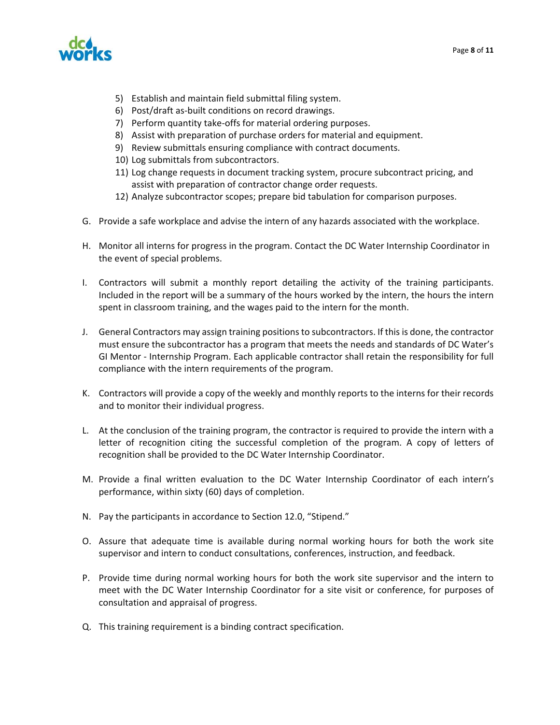

- 5) Establish and maintain field submittal filing system.
- 6) Post/draft as‐built conditions on record drawings.
- 7) Perform quantity take‐offs for material ordering purposes.
- 8) Assist with preparation of purchase orders for material and equipment.
- 9) Review submittals ensuring compliance with contract documents.
- 10) Log submittals from subcontractors.
- 11) Log change requests in document tracking system, procure subcontract pricing, and assist with preparation of contractor change order requests.
- 12) Analyze subcontractor scopes; prepare bid tabulation for comparison purposes.
- G. Provide a safe workplace and advise the intern of any hazards associated with the workplace.
- H. Monitor all interns for progress in the program. Contact the DC Water Internship Coordinator in the event of special problems.
- I. Contractors will submit a monthly report detailing the activity of the training participants. Included in the report will be a summary of the hours worked by the intern, the hours the intern spent in classroom training, and the wages paid to the intern for the month.
- J. General Contractors may assign training positionsto subcontractors. If thisis done, the contractor must ensure the subcontractor has a program that meets the needs and standards of DC Water's GI Mentor ‐ Internship Program. Each applicable contractor shall retain the responsibility for full compliance with the intern requirements of the program.
- K. Contractors will provide a copy of the weekly and monthly reports to the interns for their records and to monitor their individual progress.
- L. At the conclusion of the training program, the contractor is required to provide the intern with a letter of recognition citing the successful completion of the program. A copy of letters of recognition shall be provided to the DC Water Internship Coordinator.
- M. Provide a final written evaluation to the DC Water Internship Coordinator of each intern's performance, within sixty (60) days of completion.
- N. Pay the participants in accordance to Section 12.0, "Stipend."
- O. Assure that adequate time is available during normal working hours for both the work site supervisor and intern to conduct consultations, conferences, instruction, and feedback.
- P. Provide time during normal working hours for both the work site supervisor and the intern to meet with the DC Water Internship Coordinator for a site visit or conference, for purposes of consultation and appraisal of progress.
- Q. This training requirement is a binding contract specification.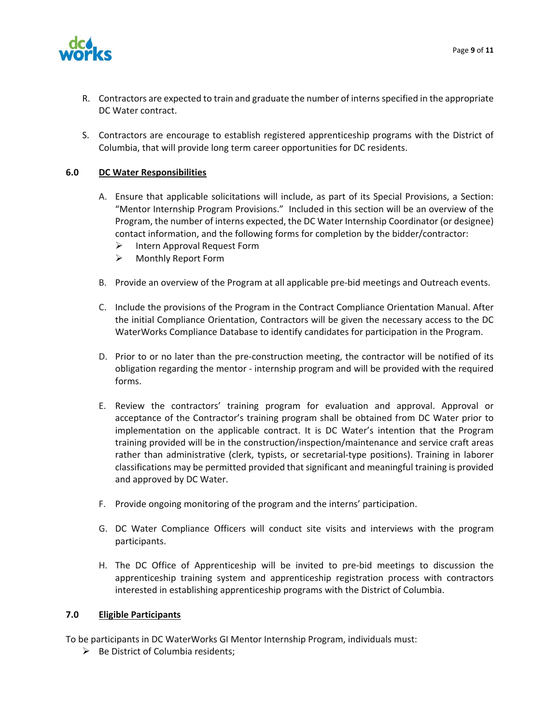

- R. Contractors are expected to train and graduate the number of internsspecified in the appropriate DC Water contract.
- S. Contractors are encourage to establish registered apprenticeship programs with the District of Columbia, that will provide long term career opportunities for DC residents.

## **6.0 DC Water Responsibilities**

- A. Ensure that applicable solicitations will include, as part of its Special Provisions, a Section: "Mentor Internship Program Provisions." Included in this section will be an overview of the Program, the number of interns expected, the DC Water Internship Coordinator (or designee) contact information, and the following forms for completion by the bidder/contractor:
	- $\triangleright$  Intern Approval Request Form
	- Monthly Report Form
- B. Provide an overview of the Program at all applicable pre‐bid meetings and Outreach events.
- C. Include the provisions of the Program in the Contract Compliance Orientation Manual. After the initial Compliance Orientation, Contractors will be given the necessary access to the DC WaterWorks Compliance Database to identify candidates for participation in the Program.
- D. Prior to or no later than the pre-construction meeting, the contractor will be notified of its obligation regarding the mentor ‐ internship program and will be provided with the required forms.
- E. Review the contractors' training program for evaluation and approval. Approval or acceptance of the Contractor's training program shall be obtained from DC Water prior to implementation on the applicable contract. It is DC Water's intention that the Program training provided will be in the construction/inspection/maintenance and service craft areas rather than administrative (clerk, typists, or secretarial-type positions). Training in laborer classifications may be permitted provided that significant and meaningful training is provided and approved by DC Water.
- F. Provide ongoing monitoring of the program and the interns' participation.
- G. DC Water Compliance Officers will conduct site visits and interviews with the program participants.
- H. The DC Office of Apprenticeship will be invited to pre‐bid meetings to discussion the apprenticeship training system and apprenticeship registration process with contractors interested in establishing apprenticeship programs with the District of Columbia.

#### **7.0 Eligible Participants**

To be participants in DC WaterWorks GI Mentor Internship Program, individuals must:

 $\triangleright$  Be District of Columbia residents;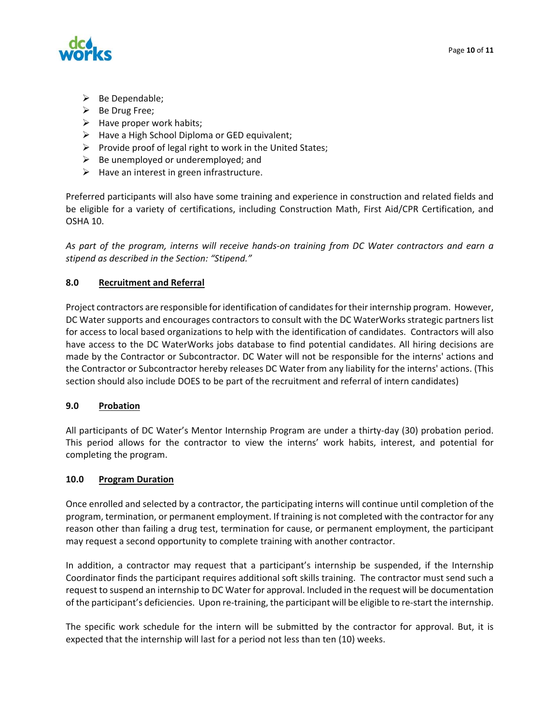

- $\triangleright$  Be Dependable;
- $\triangleright$  Be Drug Free;
- $\triangleright$  Have proper work habits;
- $\triangleright$  Have a High School Diploma or GED equivalent;
- $\triangleright$  Provide proof of legal right to work in the United States;
- $\triangleright$  Be unemployed or underemployed; and
- $\triangleright$  Have an interest in green infrastructure.

Preferred participants will also have some training and experience in construction and related fields and be eligible for a variety of certifications, including Construction Math, First Aid/CPR Certification, and OSHA 10.

As part of the program, interns will receive hands-on training from DC Water contractors and earn a *stipend as described in the Section: "Stipend."* 

## **8.0 Recruitment and Referral**

Project contractors are responsible for identification of candidates for their internship program. However, DC Water supports and encourages contractors to consult with the DC WaterWorks strategic partners list for access to local based organizations to help with the identification of candidates. Contractors will also have access to the DC WaterWorks jobs database to find potential candidates. All hiring decisions are made by the Contractor or Subcontractor. DC Water will not be responsible for the interns' actions and the Contractor or Subcontractor hereby releases DC Water from any liability for the interns' actions. (This section should also include DOES to be part of the recruitment and referral of intern candidates)

## **9.0 Probation**

All participants of DC Water's Mentor Internship Program are under a thirty‐day (30) probation period. This period allows for the contractor to view the interns' work habits, interest, and potential for completing the program.

#### **10.0 Program Duration**

Once enrolled and selected by a contractor, the participating interns will continue until completion of the program, termination, or permanent employment. If training is not completed with the contractor for any reason other than failing a drug test, termination for cause, or permanent employment, the participant may request a second opportunity to complete training with another contractor.

In addition, a contractor may request that a participant's internship be suspended, if the Internship Coordinator finds the participant requires additional soft skills training. The contractor must send such a request to suspend an internship to DC Water for approval. Included in the request will be documentation of the participant's deficiencies. Upon re‐training, the participant will be eligible to re‐start the internship.

The specific work schedule for the intern will be submitted by the contractor for approval. But, it is expected that the internship will last for a period not less than ten (10) weeks.